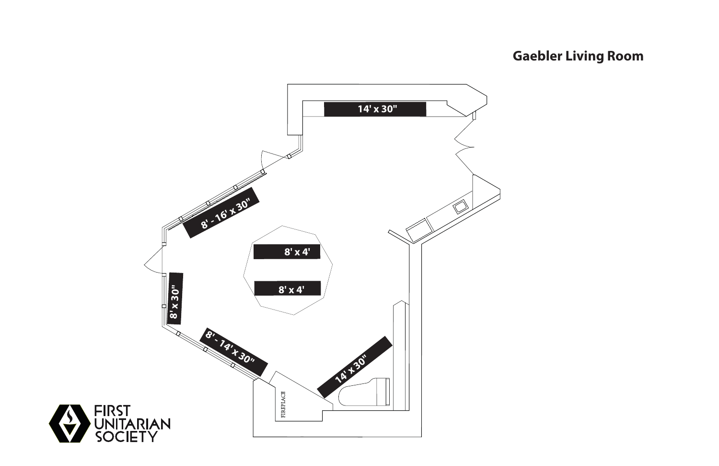## **Gaebler Living Room**

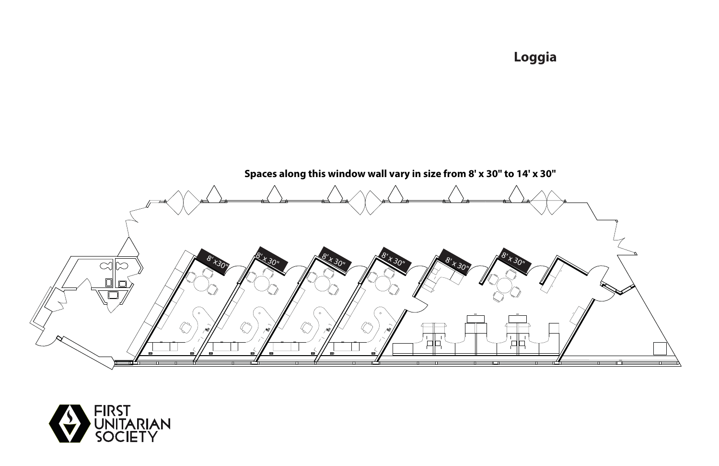## **Loggia**



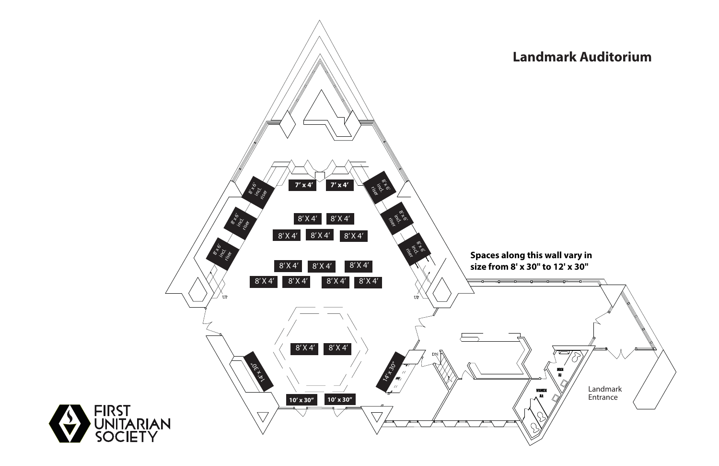